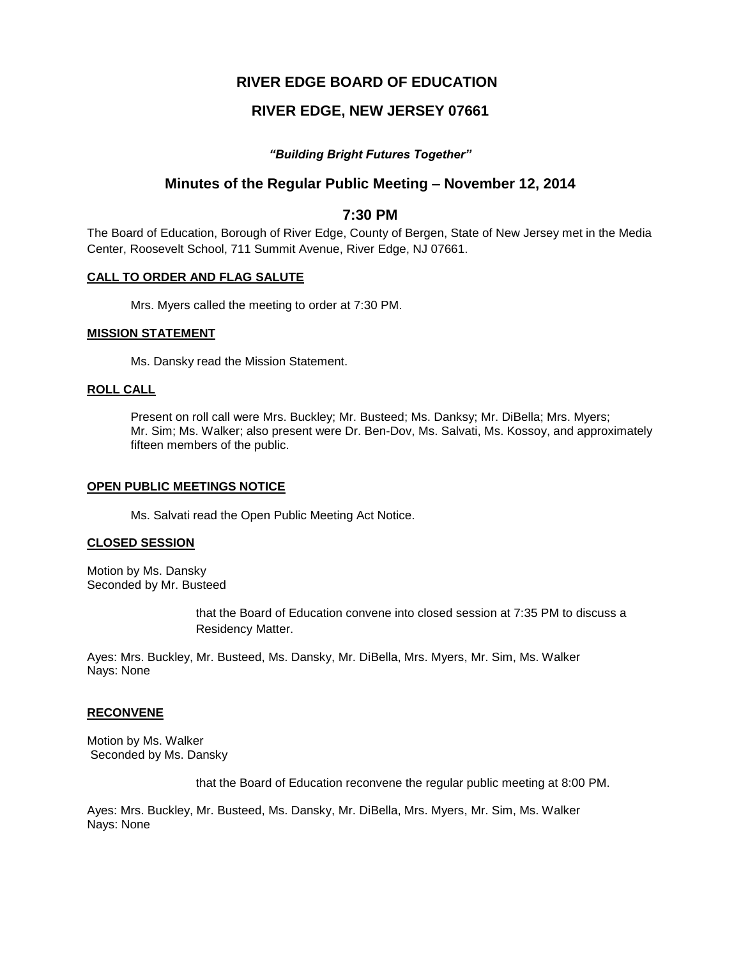# **RIVER EDGE BOARD OF EDUCATION**

# **RIVER EDGE, NEW JERSEY 07661**

### *"Building Bright Futures Together"*

# **Minutes of the Regular Public Meeting – November 12, 2014**

## **7:30 PM**

The Board of Education, Borough of River Edge, County of Bergen, State of New Jersey met in the Media Center, Roosevelt School, 711 Summit Avenue, River Edge, NJ 07661.

#### **CALL TO ORDER AND FLAG SALUTE**

Mrs. Myers called the meeting to order at 7:30 PM.

#### **MISSION STATEMENT**

Ms. Dansky read the Mission Statement.

#### **ROLL CALL**

Present on roll call were Mrs. Buckley; Mr. Busteed; Ms. Danksy; Mr. DiBella; Mrs. Myers; Mr. Sim; Ms. Walker; also present were Dr. Ben-Dov, Ms. Salvati, Ms. Kossoy, and approximately fifteen members of the public.

#### **OPEN PUBLIC MEETINGS NOTICE**

Ms. Salvati read the Open Public Meeting Act Notice.

#### **CLOSED SESSION**

Motion by Ms. Dansky Seconded by Mr. Busteed

> that the Board of Education convene into closed session at 7:35 PM to discuss a Residency Matter.

Ayes: Mrs. Buckley, Mr. Busteed, Ms. Dansky, Mr. DiBella, Mrs. Myers, Mr. Sim, Ms. Walker Nays: None

#### **RECONVENE**

Motion by Ms. Walker Seconded by Ms. Dansky

that the Board of Education reconvene the regular public meeting at 8:00 PM.

Ayes: Mrs. Buckley, Mr. Busteed, Ms. Dansky, Mr. DiBella, Mrs. Myers, Mr. Sim, Ms. Walker Nays: None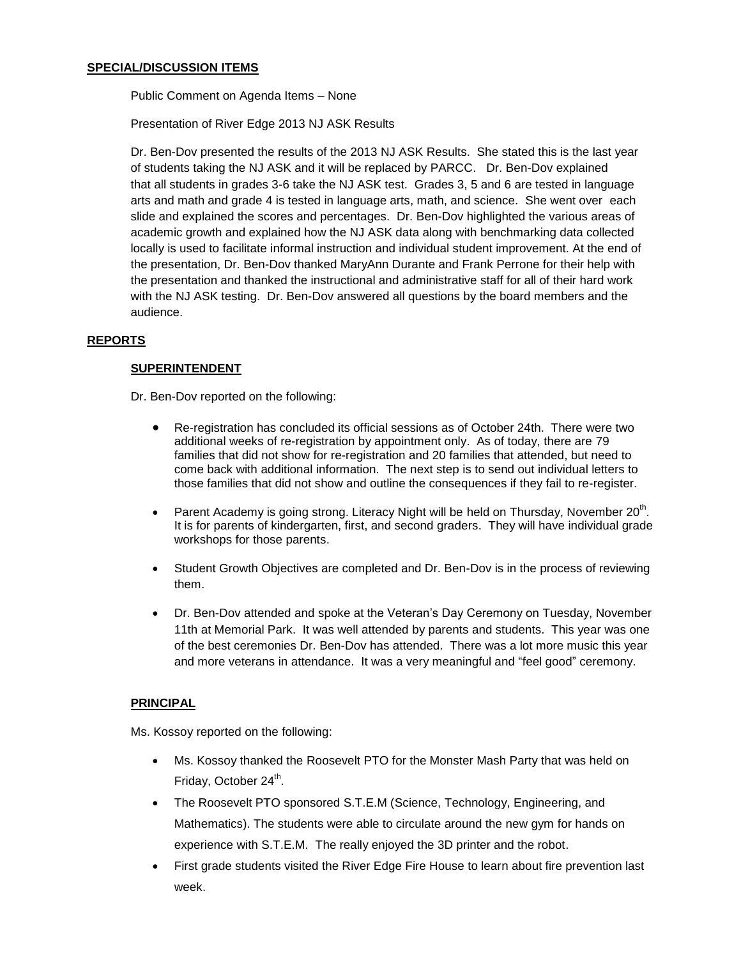Public Comment on Agenda Items – None

Presentation of River Edge 2013 NJ ASK Results

Dr. Ben-Dov presented the results of the 2013 NJ ASK Results. She stated this is the last year of students taking the NJ ASK and it will be replaced by PARCC. Dr. Ben-Dov explained that all students in grades 3-6 take the NJ ASK test. Grades 3, 5 and 6 are tested in language arts and math and grade 4 is tested in language arts, math, and science. She went over each slide and explained the scores and percentages. Dr. Ben-Dov highlighted the various areas of academic growth and explained how the NJ ASK data along with benchmarking data collected locally is used to facilitate informal instruction and individual student improvement. At the end of the presentation, Dr. Ben-Dov thanked MaryAnn Durante and Frank Perrone for their help with the presentation and thanked the instructional and administrative staff for all of their hard work with the NJ ASK testing. Dr. Ben-Dov answered all questions by the board members and the audience.

## **REPORTS**

## **SUPERINTENDENT**

Dr. Ben-Dov reported on the following:

- Re-registration has concluded its official sessions as of October 24th. There were two additional weeks of re-registration by appointment only. As of today, there are 79 families that did not show for re-registration and 20 families that attended, but need to come back with additional information. The next step is to send out individual letters to those families that did not show and outline the consequences if they fail to re-register.
- Parent Academy is going strong. Literacy Night will be held on Thursday, November 20<sup>th</sup>. It is for parents of kindergarten, first, and second graders. They will have individual grade workshops for those parents.
- Student Growth Objectives are completed and Dr. Ben-Dov is in the process of reviewing them.
- Dr. Ben-Dov attended and spoke at the Veteran's Day Ceremony on Tuesday, November 11th at Memorial Park. It was well attended by parents and students. This year was one of the best ceremonies Dr. Ben-Dov has attended. There was a lot more music this year and more veterans in attendance. It was a very meaningful and "feel good" ceremony.

## **PRINCIPAL**

Ms. Kossoy reported on the following:

- Ms. Kossoy thanked the Roosevelt PTO for the Monster Mash Party that was held on Friday, October 24<sup>th</sup>.
- The Roosevelt PTO sponsored S.T.E.M (Science, Technology, Engineering, and Mathematics). The students were able to circulate around the new gym for hands on experience with S.T.E.M. The really enjoyed the 3D printer and the robot.
- First grade students visited the River Edge Fire House to learn about fire prevention last week.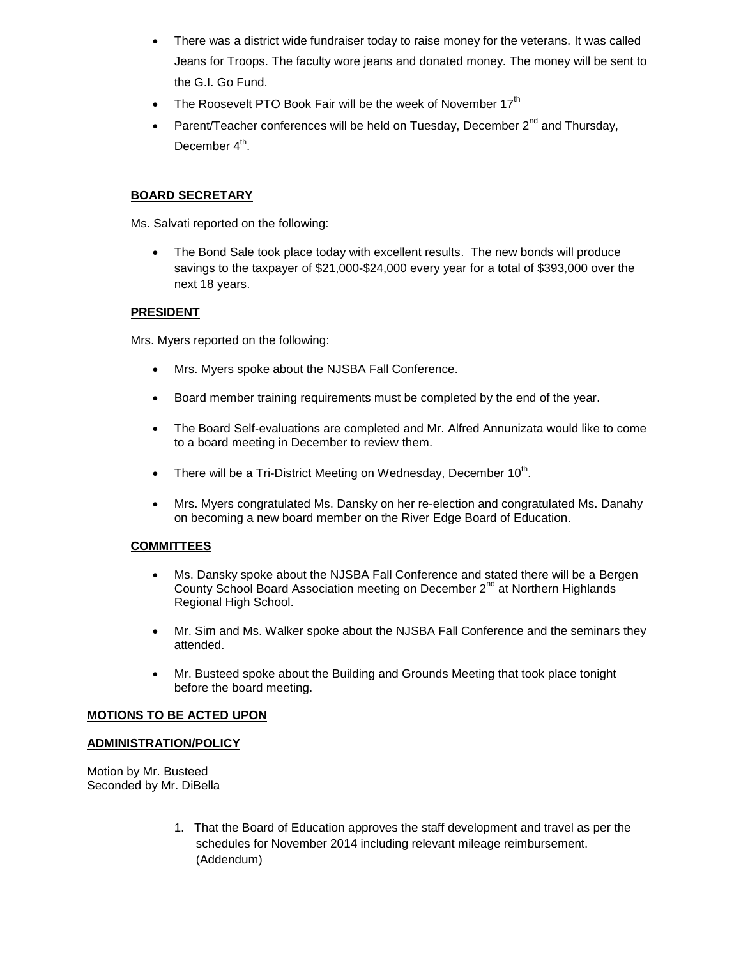- There was a district wide fundraiser today to raise money for the veterans. It was called Jeans for Troops. The faculty wore jeans and donated money. The money will be sent to the G.I. Go Fund.
- The Roosevelt PTO Book Fair will be the week of November  $17<sup>th</sup>$
- Parent/Teacher conferences will be held on Tuesday, December  $2^{nd}$  and Thursday, December 4<sup>th</sup>.

# **BOARD SECRETARY**

Ms. Salvati reported on the following:

 The Bond Sale took place today with excellent results. The new bonds will produce savings to the taxpayer of \$21,000-\$24,000 every year for a total of \$393,000 over the next 18 years.

## **PRESIDENT**

Mrs. Myers reported on the following:

- Mrs. Myers spoke about the NJSBA Fall Conference.
- Board member training requirements must be completed by the end of the year.
- The Board Self-evaluations are completed and Mr. Alfred Annunizata would like to come to a board meeting in December to review them.
- There will be a Tri-District Meeting on Wednesday, December  $10^{th}$ .
- Mrs. Myers congratulated Ms. Dansky on her re-election and congratulated Ms. Danahy on becoming a new board member on the River Edge Board of Education.

## **COMMITTEES**

- Ms. Dansky spoke about the NJSBA Fall Conference and stated there will be a Bergen County School Board Association meeting on December 2<sup>nd</sup> at Northern Highlands Regional High School.
- Mr. Sim and Ms. Walker spoke about the NJSBA Fall Conference and the seminars they attended.
- Mr. Busteed spoke about the Building and Grounds Meeting that took place tonight before the board meeting.

## **MOTIONS TO BE ACTED UPON**

## **ADMINISTRATION/POLICY**

Motion by Mr. Busteed Seconded by Mr. DiBella

> 1. That the Board of Education approves the staff development and travel as per the schedules for November 2014 including relevant mileage reimbursement. (Addendum)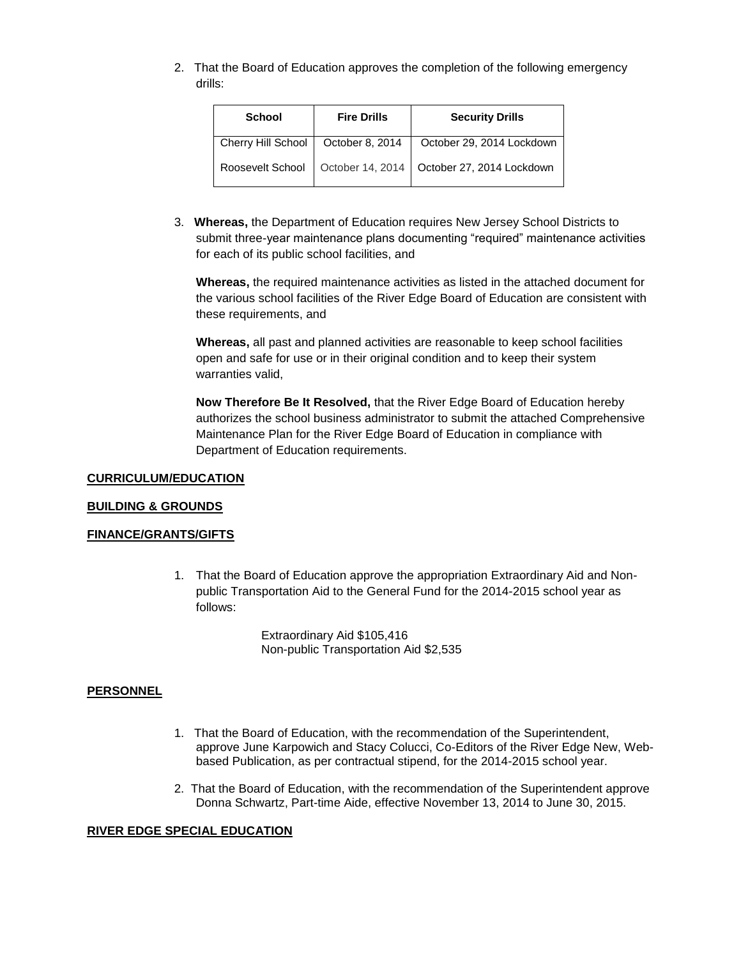2. That the Board of Education approves the completion of the following emergency drills:

| <b>School</b>                        | <b>Fire Drills</b> | <b>Security Drills</b>                       |
|--------------------------------------|--------------------|----------------------------------------------|
| Cherry Hill School   October 8, 2014 |                    | October 29, 2014 Lockdown                    |
| Roosevelt School                     |                    | October 14, 2014   October 27, 2014 Lockdown |

3. **Whereas,** the Department of Education requires New Jersey School Districts to submit three-year maintenance plans documenting "required" maintenance activities for each of its public school facilities, and

**Whereas,** the required maintenance activities as listed in the attached document for the various school facilities of the River Edge Board of Education are consistent with these requirements, and

**Whereas,** all past and planned activities are reasonable to keep school facilities open and safe for use or in their original condition and to keep their system warranties valid,

**Now Therefore Be It Resolved,** that the River Edge Board of Education hereby authorizes the school business administrator to submit the attached Comprehensive Maintenance Plan for the River Edge Board of Education in compliance with Department of Education requirements.

#### **CURRICULUM/EDUCATION**

#### **BUILDING & GROUNDS**

### **FINANCE/GRANTS/GIFTS**

1. That the Board of Education approve the appropriation Extraordinary Aid and Nonpublic Transportation Aid to the General Fund for the 2014-2015 school year as follows:

> Extraordinary Aid \$105,416 Non-public Transportation Aid \$2,535

#### **PERSONNEL**

- 1. That the Board of Education, with the recommendation of the Superintendent, approve June Karpowich and Stacy Colucci, Co-Editors of the River Edge New, Webbased Publication, as per contractual stipend, for the 2014-2015 school year.
- 2. That the Board of Education, with the recommendation of the Superintendent approve Donna Schwartz, Part-time Aide, effective November 13, 2014 to June 30, 2015.

#### **RIVER EDGE SPECIAL EDUCATION**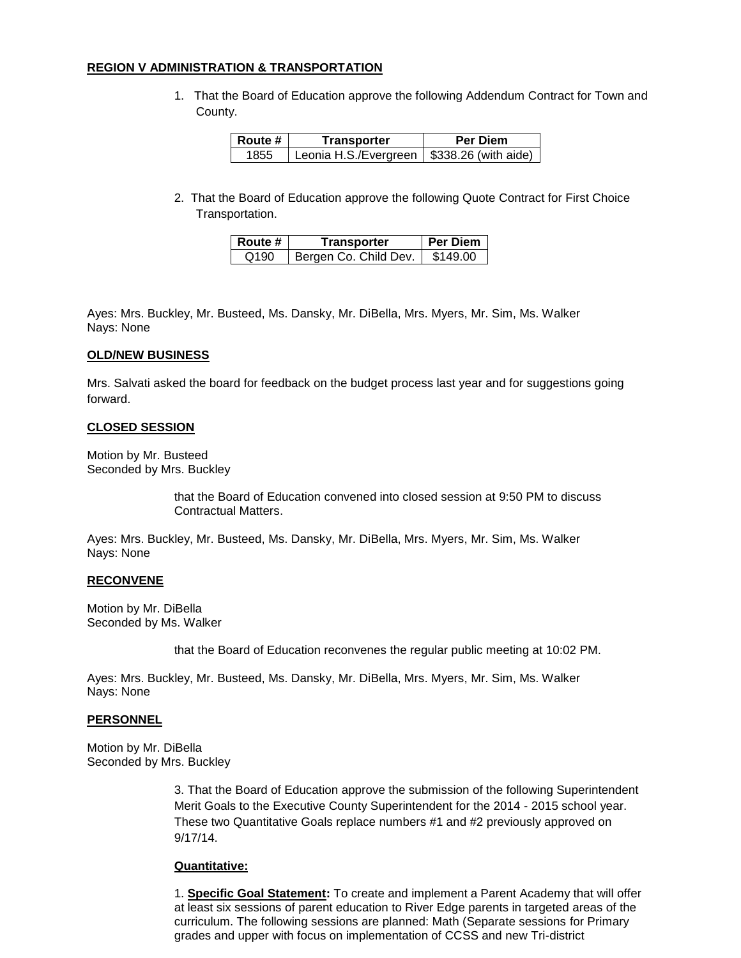#### **REGION V ADMINISTRATION & TRANSPORTATION**

1. That the Board of Education approve the following Addendum Contract for Town and County.

| ∣ Route # | Transporter                                   | <b>Per Diem</b> |
|-----------|-----------------------------------------------|-----------------|
| 1855      | Leonia H.S./Evergreen   $$338.26$ (with aide) |                 |

2. That the Board of Education approve the following Quote Contract for First Choice Transportation.

| Route # | Transporter           | <b>Per Diem</b> |
|---------|-----------------------|-----------------|
| Q190    | Bergen Co. Child Dev. | \$149.00        |

Ayes: Mrs. Buckley, Mr. Busteed, Ms. Dansky, Mr. DiBella, Mrs. Myers, Mr. Sim, Ms. Walker Nays: None

### **OLD/NEW BUSINESS**

Mrs. Salvati asked the board for feedback on the budget process last year and for suggestions going forward.

### **CLOSED SESSION**

Motion by Mr. Busteed Seconded by Mrs. Buckley

> that the Board of Education convened into closed session at 9:50 PM to discuss Contractual Matters.

Ayes: Mrs. Buckley, Mr. Busteed, Ms. Dansky, Mr. DiBella, Mrs. Myers, Mr. Sim, Ms. Walker Nays: None

#### **RECONVENE**

Motion by Mr. DiBella Seconded by Ms. Walker

that the Board of Education reconvenes the regular public meeting at 10:02 PM.

Ayes: Mrs. Buckley, Mr. Busteed, Ms. Dansky, Mr. DiBella, Mrs. Myers, Mr. Sim, Ms. Walker Nays: None

#### **PERSONNEL**

Motion by Mr. DiBella Seconded by Mrs. Buckley

> 3. That the Board of Education approve the submission of the following Superintendent Merit Goals to the Executive County Superintendent for the 2014 - 2015 school year. These two Quantitative Goals replace numbers #1 and #2 previously approved on 9/17/14.

### **Quantitative:**

1. **Specific Goal Statement:** To create and implement a Parent Academy that will offer at least six sessions of parent education to River Edge parents in targeted areas of the curriculum. The following sessions are planned: Math (Separate sessions for Primary grades and upper with focus on implementation of CCSS and new Tri-district